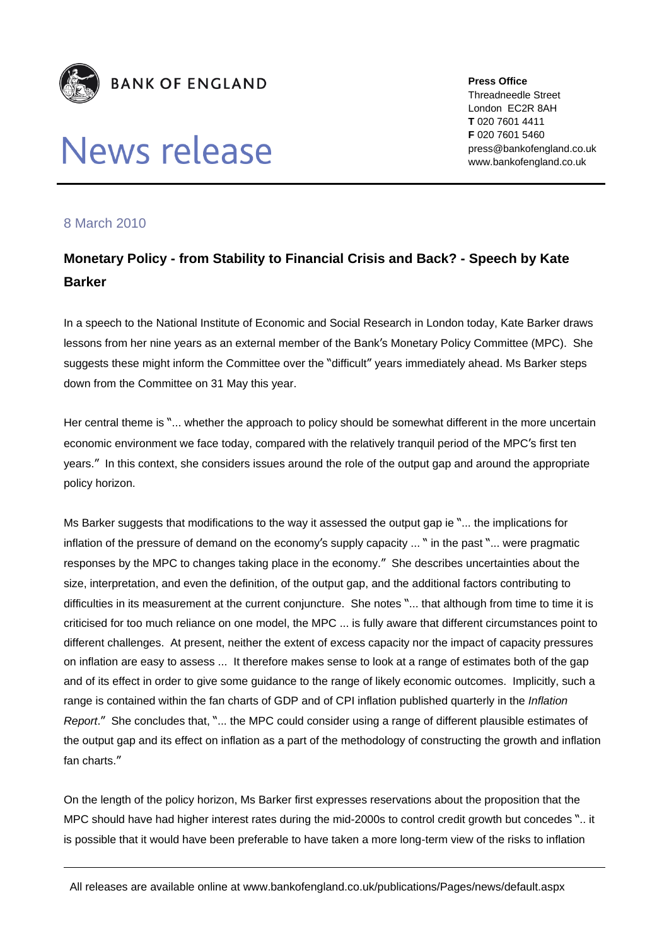

## News release

**Press Office** Threadneedle Street London EC2R 8AH **T** 020 7601 4411 **F** 020 7601 5460 press@bankofengland.co.uk www.bankofengland.co.uk

## 8 March 2010

## **Monetary Policy - from Stability to Financial Crisis and Back? - Speech by Kate Barker**

In a speech to the National Institute of Economic and Social Research in London today, Kate Barker draws lessons from her nine years as an external member of the Bank's Monetary Policy Committee (MPC). She suggests these might inform the Committee over the "difficult" years immediately ahead. Ms Barker steps down from the Committee on 31 May this year.

Her central theme is "... whether the approach to policy should be somewhat different in the more uncertain economic environment we face today, compared with the relatively tranquil period of the MPC's first ten years." In this context, she considers issues around the role of the output gap and around the appropriate policy horizon.

Ms Barker suggests that modifications to the way it assessed the output gap ie "... the implications for inflation of the pressure of demand on the economy's supply capacity ... " in the past "... were pragmatic responses by the MPC to changes taking place in the economy." She describes uncertainties about the size, interpretation, and even the definition, of the output gap, and the additional factors contributing to difficulties in its measurement at the current conjuncture. She notes "... that although from time to time it is criticised for too much reliance on one model, the MPC ... is fully aware that different circumstances point to different challenges. At present, neither the extent of excess capacity nor the impact of capacity pressures on inflation are easy to assess ... It therefore makes sense to look at a range of estimates both of the gap and of its effect in order to give some guidance to the range of likely economic outcomes. Implicitly, such a range is contained within the fan charts of GDP and of CPI inflation published quarterly in the *Inflation Report*." She concludes that, "... the MPC could consider using a range of different plausible estimates of the output gap and its effect on inflation as a part of the methodology of constructing the growth and inflation fan charts."

On the length of the policy horizon, Ms Barker first expresses reservations about the proposition that the MPC should have had higher interest rates during the mid-2000s to control credit growth but concedes ".. it is possible that it would have been preferable to have taken a more long-term view of the risks to inflation